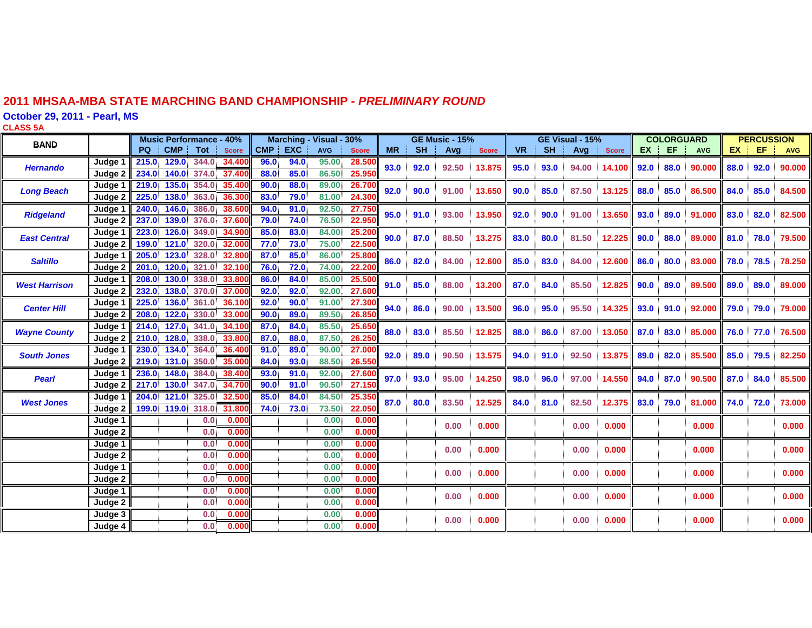#### **2011 MHSAA-MBA STATE MARCHING BAND CHAMPIONSHIP -** *PRELIMINARY ROUND*

**October 29, 2011 - Pearl, MS**

**CLASS 5 A**

| <b>BAND</b>          |                    | <b>Music Performance - 40%</b> |            |              |              | Visual - 30%<br><b>GE Music - 15%</b><br><b>Marching</b> |            |            |              |           |           | GE Visual - 15% |              |           |           | <b>COLORGUARD</b> |              |           | <b>PERCUSSION</b> |            |           |      |            |
|----------------------|--------------------|--------------------------------|------------|--------------|--------------|----------------------------------------------------------|------------|------------|--------------|-----------|-----------|-----------------|--------------|-----------|-----------|-------------------|--------------|-----------|-------------------|------------|-----------|------|------------|
|                      |                    | <b>PQ</b>                      | <b>CMP</b> | <b>Tot</b>   | <b>Score</b> | <b>CMP</b>                                               | <b>EXC</b> | <b>AVG</b> | <b>Score</b> | <b>MR</b> | <b>SH</b> | Avg             | <b>Score</b> | <b>VR</b> | <b>SH</b> | Avg               | <b>Score</b> | <b>EX</b> | EF                | <b>AVG</b> | <b>EX</b> | EF.  | <b>AVG</b> |
|                      | Judae              | 215.0                          | 129.0      | 344.0        | 34,400       | 96.0                                                     | 94.0       | 95.00      | 28.500       | 93.0      | 92.0      | 92.50           |              | 95.0      | 93.0      | 94.00             |              | 92.0      | 88.0              | 90.000     | 88.0      | 92.0 | 90.000     |
| <b>Hernando</b>      | Judge 2            | 234.0                          | 140.0      | 374.0        | 37.400       | 88.0                                                     | 85.0       | 86.50      | 25.95        |           |           |                 | 13.875       |           |           |                   | 14.100       |           |                   |            |           |      |            |
|                      | Judge <sup>®</sup> | 219.0                          | 135.0      | 354.0        | 35.400       | 90.0                                                     | 88.0       | 89.00      | 26.70        | 92.0      | 90.0      | 91.00           | 13.650       |           | 85.0      | 87.50             |              | 88.0      | 85.0              | 86.500     | 84.0      | 85.0 | 84.500     |
| <b>Long Beach</b>    | Judge 2            | 225.0                          | 138.0      | 363.0        | 36.300       | 83.0                                                     | 79.0       | 81.00      | 24.30        |           |           |                 |              | 90.0      |           |                   | 13.125       |           |                   |            |           |      |            |
|                      | Judge              | 240.0                          | 146.0      | 386.0        | 38,600       | 94.0                                                     | 91.0       | 92.50      | 27.75        | 95.0      | 91.0      |                 | 13.950       | 92.0      | 90.0      | 91.00             |              | 93.0      |                   |            | 83.0      |      | 82,500     |
| <b>Ridgeland</b>     | Judge 2            | 237.0                          | 139.0      | 376.0        | 37.600       | 79.0                                                     | 74.0       | 76.50      | 22.95        |           |           | 93.00           |              |           |           |                   | 13.650       |           | 89.0              | 91.000     | 82.0      |      |            |
| <b>East Central</b>  | Judge <sup>-</sup> | 223.0                          | 126.0      | 349.0        | 34.900       | 85.0                                                     | 83.0       | 84.00      | 25.20        | 90.0      | 87.0      | 88.50           | 13.275       | 83.0      | 80.0      | 81.50             | 12.225       | 90.0      | 88.0              | 89,000     | 81.0      | 78.0 | 79.500     |
|                      | Judge 2            | 199.0                          | 121.0      | 320.0        | 32,000       | 77.0                                                     | 73.0       | 75.00      | 22.50        |           |           |                 |              |           |           |                   |              |           |                   |            |           |      |            |
| <b>Saltillo</b>      | Judge <sup>-</sup> | 205.0                          | 123.0      | <b>328.0</b> | 32,800       | 87.0                                                     | 85.0       | 86.00      | 25.80        | 86.0      | 82.0      | 84.00           | 12.600       | 85.0      | 83.0      | 84.00             | 12.600       | 86.0      | 80.0              | 83.000     | 78.0      | 78.5 | 78.250     |
|                      | Judge 2            | 201.0                          | 120.0      | 321.0        | 32.100       | 76.0                                                     | 72.0       | 74.00      | 22.20        |           |           |                 |              |           |           |                   |              |           |                   |            |           |      |            |
| <b>West Harrison</b> | Judge              | 208.0                          | 130.0      | 338.0        | 33,800       | 86.0                                                     | 84.0       | 85.00      | 25.500       | 91.0      | 85.0      | 88.00           | 13.200       | 87.0      | 84.0      | 85.50             | 12.825       | 90.0      | 89.0              | 89.500     | 89.0      | 89.0 | 89.000     |
|                      | Judge 2            | 232.0                          | 138.0      | 370.0        | 37,000       | 92.0                                                     | 92.0       | 92.00      | 27,600       |           |           |                 |              |           |           |                   |              |           |                   |            |           |      |            |
| <b>Center Hill</b>   | Judge <sup>-</sup> | 225.0                          | 136.0      | 361.0        | 36.100       | 92.0                                                     | 90.0       | 91.00      | 27.30        | 94.0      | 86.0      | 90.00           | 13.500       | 96.0      |           | 95.0<br>95.50     | 14.325       | 93.0      | 91.0              | 92.000     | 79.0      | 79.0 | 79.000     |
|                      | Judge 2            | 208.0                          | 122.0      | 330.0        | 33.000       | 90.0                                                     | 89.0       | 89.50      | 26.85        |           |           |                 |              |           |           |                   |              |           |                   |            |           |      |            |
| <b>Wayne County</b>  | Judge              | 214.0                          | 127.0      | 341.0        | 34.100       | 87.0                                                     | 84.0       | 85.50      | 25.65        | 88.0      | 83.0      | 85.50           | 12.825       | 88.0      | 86.0      | 87.00<br>13.050   |              | 87.0      | 83.0              | 85.000     | 76.0      | 77.0 | 76.500     |
|                      | Judge 2            | 210.0                          | 128.0      | 338.0        | 33,800       | 87.0                                                     | 88.0       | 87.50      | 26.25        |           |           |                 |              |           |           |                   |              |           |                   |            |           |      |            |
| <b>South Jones</b>   | Judge <sup>-</sup> | 230.0                          | 134.0      | 364.0        | 36,400       | 91.0                                                     | 89.0       | 90.00      | 27.00        | 92.0      | 89.0      | 90.50           | 13.575       | 94.0      | 91.0      | 92.50             | 13.875       | 89.0      | 82.0              | 85.500     | 85.0      | 79.5 | 82.250     |
|                      | Judge 2            | 219.0                          | 131.0      | 350.0        | 35.000       | 84.0                                                     | 93.0       | 88.50      | 26.55        |           |           |                 |              |           |           |                   |              |           |                   |            |           |      |            |
| <b>Pearl</b>         | Judge              | 236.0                          | 148.0      | 384.0        | 38,400       | 93.0                                                     | 91.0       | 92.00      | 27.60        | 97.0      | 93.0      | 95.00           | 14.250       | 98.0      | 96.0      | 97.00             | 14.550       | 94.0      | 87.0              | 90.500     | 87.0      | 84.0 | 85.500     |
|                      | Judge 2            | 217.0                          | 130.0      | 347.0        | 34.700       | 90.0                                                     | 91.0       | 90.50      | 27,150       |           |           |                 |              |           |           |                   |              |           |                   |            |           |      |            |
| <b>West Jones</b>    | Judge              | 204.0                          | 121.0      | 325.0        | 32,500       | 85.0                                                     | 84.0       | 84.50      | 25.350       | 87.0      | 80.0      | 83.50           | 12.525       | 84.0      | 81.0      | 82.50             | 12.375       | 83.0      | 79.0              | 81.000     | 74.0      | 72.0 | 73,000     |
|                      | Judge 2            | 199.0                          | 119.0      | 318.0        | 31,800       | 74.0                                                     | 73.0       | 73.50      | 22.05        |           |           |                 |              |           |           |                   |              |           |                   |            |           |      |            |
|                      | Judge 1            |                                |            | 0.0          | 0.000        |                                                          |            | 0.00       | 0.000        |           |           | 0.00            | 0.000        |           |           | 0.00              | 0.000        |           |                   | 0.000      |           |      | 0.000      |
|                      | Judge 2            |                                |            | 0.0          | 0.000        |                                                          |            | 0.00       | 0.000        |           |           |                 |              |           |           |                   |              |           |                   |            |           |      |            |
|                      | Judge 1            |                                |            | 0.0          | 0.000        |                                                          |            | 0.00       | 0.000        |           |           | 0.00            | 0.000        |           |           | 0.00              | 0.000        |           |                   | 0.000      |           |      | 0.000      |
|                      | Judge 2            |                                |            | 0.0          | 0.000        |                                                          |            | 0.00       | 0.000        |           |           |                 |              |           |           |                   |              |           |                   |            |           |      |            |
|                      | Judge 1            |                                |            | 0.0          | 0.000        |                                                          |            | 0.00       | 0.000        |           |           | 0.00            | 0.000        |           |           | 0.00              | 0.000        |           |                   | 0.000      |           |      | 0.000      |
|                      | Judge 2            |                                |            | 0.0          | 0.000        |                                                          |            | 0.00       | 0.000        |           |           |                 |              |           |           |                   |              |           |                   |            |           |      |            |
|                      | Judge 1            |                                |            | 0.0          | 0.000        |                                                          |            | 0.00       | 0.000        |           |           | 0.00            | 0.000        |           |           | 0.00              | 0.000        |           |                   | 0.000      |           |      | 0.000      |
|                      | Judge 2            |                                |            | 0.0          | 0.000        |                                                          |            | 0.00       | 0.000        |           |           |                 |              |           |           |                   |              |           |                   |            |           |      |            |
|                      | Judge 3            |                                |            | 0.0          | 0.000        |                                                          |            | 0.00       | 0.000        |           |           | 0.00            | 0.000        |           |           | 0.00              | 0.000        |           |                   | 0.000      |           |      | 0.000      |
|                      | Judge 4            |                                |            | 0.0          | 0.000        |                                                          |            | 0.00       | 0.000        |           |           |                 |              |           |           |                   |              |           |                   |            |           |      |            |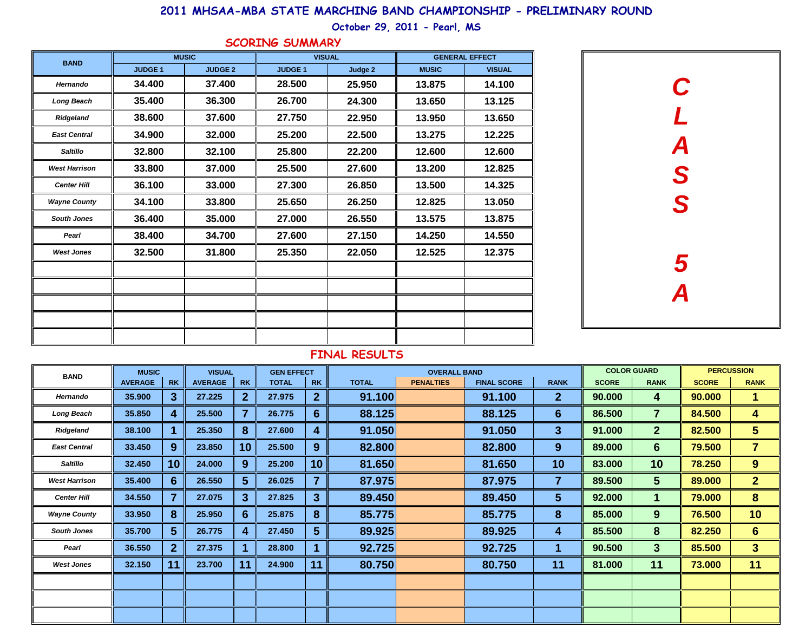## **2011 MHSAA-MBA STATE MARCHING BAND CHAMPIONSHIP - PRELIMINARY ROUND**

## **October 29, 2011 - Pearl, MS**

|  |  |  |  | SCORING SUMMARY |  |  |  |  |
|--|--|--|--|-----------------|--|--|--|--|
|--|--|--|--|-----------------|--|--|--|--|

| <b>BAND</b><br>Hernando<br><b>Long Beach</b><br>Ridgeland<br><b>East Central</b><br><b>Saltillo</b> |               | <b>MUSIC</b>   | <b>VISUAL</b> |         | <b>GENERAL EFFECT</b> |               |  |  |
|-----------------------------------------------------------------------------------------------------|---------------|----------------|---------------|---------|-----------------------|---------------|--|--|
|                                                                                                     | <b>JUDGE1</b> | <b>JUDGE 2</b> | <b>JUDGE1</b> | Judge 2 | <b>MUSIC</b>          | <b>VISUAL</b> |  |  |
|                                                                                                     | 34.400        | 37.400         | 28.500        | 25.950  | 13.875                | 14.100        |  |  |
|                                                                                                     | 35.400        | 36.300         | 26.700        | 24.300  | 13.650                | 13.125        |  |  |
|                                                                                                     | 38.600        | 37.600         | 27.750        | 22.950  | 13.950                | 13.650        |  |  |
|                                                                                                     | 34.900        | 32.000         | 25.200        | 22.500  | 13.275                | 12.225        |  |  |
|                                                                                                     | 32.800        | 32.100         | 25.800        | 22.200  | 12.600                | 12.600        |  |  |
| <b>West Harrison</b>                                                                                | 33.800        | 37.000         | 25.500        | 27.600  | 13.200                | 12.825        |  |  |
| <b>Center Hill</b>                                                                                  | 36.100        | 33.000         | 27.300        | 26.850  | 13.500                | 14.325        |  |  |
| <b>Wayne County</b>                                                                                 | 34.100        | 33.800         | 25.650        | 26.250  | 12.825                | 13.050        |  |  |
| <b>South Jones</b>                                                                                  | 36.400        | 35.000         | 27.000        | 26.550  | 13.575                | 13.875        |  |  |
| Pearl                                                                                               | 38,400        | 34.700         | 27.600        | 27.150  | 14.250                | 14.550        |  |  |
| <b>West Jones</b>                                                                                   | 32.500        | 31.800         | 25.350        | 22.050  | 12.525                | 12.375        |  |  |
|                                                                                                     |               |                |               |         |                       |               |  |  |
|                                                                                                     |               |                |               |         |                       |               |  |  |
|                                                                                                     |               |                |               |         |                       |               |  |  |
|                                                                                                     |               |                |               |         |                       |               |  |  |
|                                                                                                     |               |                |               |         |                       |               |  |  |



#### **FINAL RESULTS**

| <b>BAND</b>          | <b>MUSIC</b>   |                | <b>VISUAL</b>  |                 | <b>GEN EFFECT</b> |                 |              |                  |                    | <b>COLOR GUARD</b> | <b>PERCUSSION</b> |                |              |                |
|----------------------|----------------|----------------|----------------|-----------------|-------------------|-----------------|--------------|------------------|--------------------|--------------------|-------------------|----------------|--------------|----------------|
|                      | <b>AVERAGE</b> | <b>RK</b>      | <b>AVERAGE</b> | <b>RK</b>       | <b>TOTAL</b>      | <b>RK</b>       | <b>TOTAL</b> | <b>PENALTIES</b> | <b>FINAL SCORE</b> | <b>RANK</b>        | <b>SCORE</b>      | <b>RANK</b>    | <b>SCORE</b> | <b>RANK</b>    |
| Hernando             | 35.900         | 3              | 27.225         | $\mathbf{2}$    | 27.975            | $\mathbf{2}$    | 91.100       |                  | 91.100             | $\overline{2}$     | 90.000            | 4              | 90.000       | 1.             |
| <b>Long Beach</b>    | 35.850         | 4              | 25.500         |                 | 26.775            | $6 \,$          | 88.125       |                  | 88.125             | $6\phantom{1}6$    | 86.500            | $\overline{7}$ | 84.500       | 4              |
| Ridgeland            | 38.100         |                | 25.350         | 8               | 27.600            | 4               | 91.050       |                  | 91.050             | 3                  | 91.000            | $\mathbf{2}$   | 82.500       | 5 <sup>5</sup> |
| <b>East Central</b>  | 33.450         | 9              | 23.850         | 10 <sup>°</sup> | 25.500            | $9^{\circ}$     | 82.800       |                  | 82.800             | 9                  | 89.000            | $6 \,$         | 79.500       | $\overline{7}$ |
| Saltillo             | 32.450         | 10             | 24.000         | 9               | 25.200            | 10 <sup>1</sup> | 81.650       |                  | 81.650             | 10                 | 83.000            | 10             | 78.250       | $9^{\circ}$    |
| <b>West Harrison</b> | 35.400         | 6              | 26.550         | $5\phantom{.0}$ | 26.025            |                 | 87.975       |                  | 87.975             | $\overline{7}$     | 89.500            | 5 <sup>5</sup> | 89.000       | 2 <sup>1</sup> |
| <b>Center Hill</b>   | 34.550         | $\overline{7}$ | 27.075         | 3               | 27.825            | $\mathbf{3}$    | 89.450       |                  | 89.450             | 5 <sup>5</sup>     | 92.000            |                | 79.000       | 8              |
| <b>Wayne County</b>  | 33.950         | 8              | 25.950         | 6               | 25.875            | 8               | 85.775       |                  | 85.775             | 8                  | 85.000            | 9              | 76.500       | 10             |
| <b>South Jones</b>   | 35.700         | 5 <sup>5</sup> | 26.775         | 4               | 27.450            | $\sqrt{5}$      | 89.925       |                  | 89.925             | 4                  | 85.500            | 8              | 82.250       | 6 <sup>1</sup> |
| Pearl                | 36.550         | 2 <sup>2</sup> | 27.375         |                 | 28.800            |                 | 92.725       |                  | 92.725             | 1                  | 90.500            | 3 <sup>5</sup> | 85.500       | 3 <sup>5</sup> |
| <b>West Jones</b>    | 32.150         | 11             | 23.700         | 11              | 24.900            | 11              | 80.750       |                  | 80.750             | 11                 | 81.000            | 11             | 73.000       | 11             |
|                      |                |                |                |                 |                   |                 |              |                  |                    |                    |                   |                |              |                |
|                      |                |                |                |                 |                   |                 |              |                  |                    |                    |                   |                |              |                |
|                      |                |                |                |                 |                   |                 |              |                  |                    |                    |                   |                |              |                |